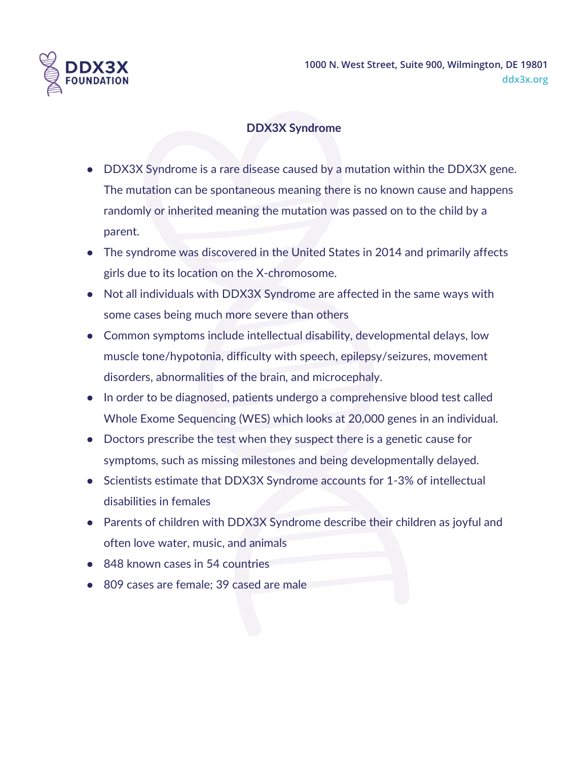

**1000 N. West Street, Suite 900, Wilmington, DE 19801 ddx3x.org**

## **DDX3X Syndrome**

- DDX3X Syndrome is a rare disease caused by a mutation within the DDX3X gene. The mutation can be spontaneous meaning there is no known cause and happens randomly or inherited meaning the mutation was passed on to the child by a parent.
- The syndrome was discovered in the United States in 2014 and primarily affects girls due to its location on the X-chromosome.
- Not all individuals with DDX3X Syndrome are affected in the same ways with some cases being much more severe than others
- Common symptoms include intellectual disability, developmental delays, low muscle tone/hypotonia, difficulty with speech, epilepsy/seizures, movement disorders, abnormalities of the brain, and microcephaly.
- In order to be diagnosed, patients undergo a comprehensive blood test called Whole Exome Sequencing (WES) which looks at 20,000 genes in an individual.
- Doctors prescribe the test when they suspect there is a genetic cause for symptoms, such as missing milestones and being developmentally delayed.
- Scientists estimate that DDX3X Syndrome accounts for 1-3% of intellectual disabilities in females
- Parents of children with DDX3X Syndrome describe their children as joyful and often love water, music, and animals
- 848 known cases in 54 countries
- 809 cases are female; 39 cased are male